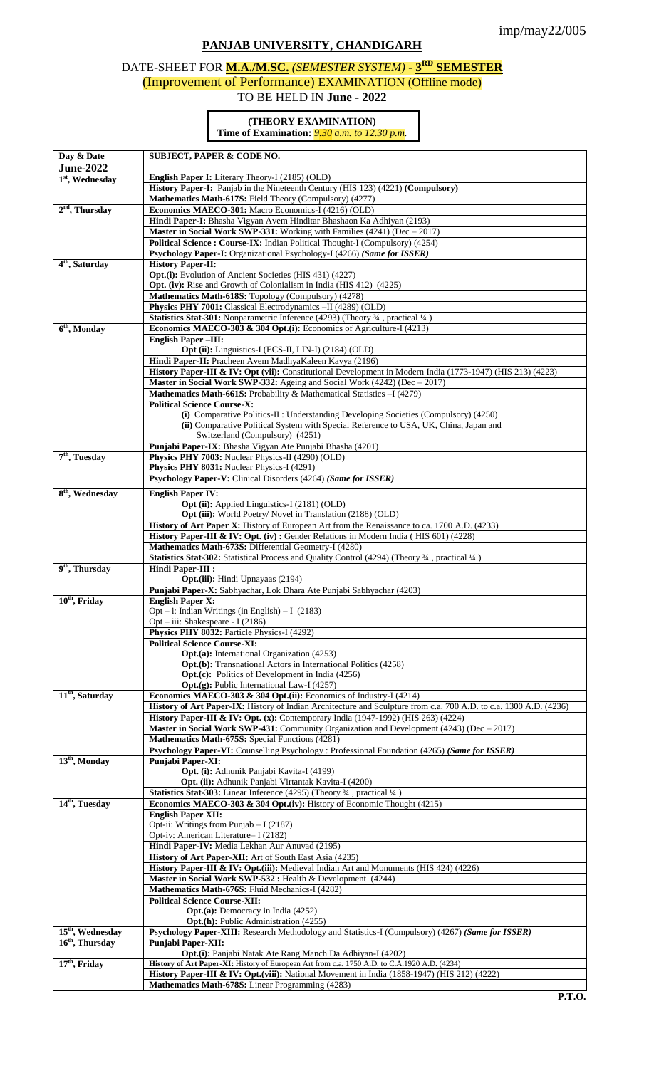# **PANJAB UNIVERSITY, CHANDIGARH**

## DATE-SHEET FOR **M.A./M.SC.** *(SEMESTER SYSTEM) -* **3 RD SEMESTER** (Improvement of Performance) EXAMINATION (Offline mode) TO BE HELD IN **June - 2022**

### **(THEORY EXAMINATION) Time of Examination:** *9.30 a.m. to 12.30 p.m.*

| Day & Date                                | <b>SUBJECT, PAPER &amp; CODE NO.</b>                                                                              |  |  |
|-------------------------------------------|-------------------------------------------------------------------------------------------------------------------|--|--|
| <b>June-2022</b>                          |                                                                                                                   |  |  |
| $1st$ , Wednesday                         | <b>English Paper I:</b> Literary Theory-I (2185) (OLD)                                                            |  |  |
|                                           | History Paper-I: Panjab in the Nineteenth Century (HIS 123) (4221) (Compulsory)                                   |  |  |
|                                           | Mathematics Math-617S: Field Theory (Compulsory) (4277)                                                           |  |  |
| $2nd$ , Thursday                          | Economics MAECO-301: Macro Economics-I (4216) (OLD)                                                               |  |  |
|                                           | Hindi Paper-I: Bhasha Vigyan Avem Hinditar Bhashaon Ka Adhiyan (2193)                                             |  |  |
|                                           | Master in Social Work SWP-331: Working with Families (4241) (Dec - 2017)                                          |  |  |
|                                           | Political Science: Course-IX: Indian Political Thought-I (Compulsory) (4254)                                      |  |  |
|                                           | Psychology Paper-I: Organizational Psychology-I (4266) (Same for ISSER)                                           |  |  |
| $\overline{4^{th}}$ , Saturday            | <b>History Paper-II:</b>                                                                                          |  |  |
|                                           | Opt.(i): Evolution of Ancient Societies (HIS 431) (4227)                                                          |  |  |
|                                           | <b>Opt.</b> (iv): Rise and Growth of Colonialism in India (HIS 412) (4225)                                        |  |  |
|                                           | Mathematics Math-618S: Topology (Compulsory) (4278)                                                               |  |  |
|                                           | Physics PHY 7001: Classical Electrodynamics -II (4289) (OLD)                                                      |  |  |
|                                           | Statistics Stat-301: Nonparametric Inference (4293) (Theory 3/4, practical 1/4)                                   |  |  |
| 6 <sup>th</sup> , Monday                  | <b>Economics MAECO-303 &amp; 304 Opt.(i):</b> Economics of Agriculture-I (4213)                                   |  |  |
|                                           |                                                                                                                   |  |  |
|                                           | <b>English Paper-III:</b>                                                                                         |  |  |
|                                           | Opt (ii): Linguistics-I (ECS-II, LIN-I) (2184) (OLD)                                                              |  |  |
|                                           | Hindi Paper-II: Pracheen Avem MadhyaKaleen Kavya (2196)                                                           |  |  |
|                                           | History Paper-III & IV: Opt (vii): Constitutional Development in Modern India (1773-1947) (HIS 213) (4223)        |  |  |
|                                           | Master in Social Work SWP-332: Ageing and Social Work (4242) (Dec - 2017)                                         |  |  |
|                                           | Mathematics Math-661S: Probability & Mathematical Statistics - I (4279)                                           |  |  |
|                                           | <b>Political Science Course-X:</b>                                                                                |  |  |
|                                           | (i) Comparative Politics-II : Understanding Developing Societies (Compulsory) (4250)                              |  |  |
|                                           | (ii) Comparative Political System with Special Reference to USA, UK, China, Japan and                             |  |  |
|                                           | Switzerland (Compulsory) (4251)                                                                                   |  |  |
|                                           | Punjabi Paper-IX: Bhasha Vigyan Ate Punjabi Bhasha (4201)                                                         |  |  |
| $7th$ , Tuesday                           | Physics PHY 7003: Nuclear Physics-II (4290) (OLD)                                                                 |  |  |
|                                           | Physics PHY 8031: Nuclear Physics-I (4291)                                                                        |  |  |
|                                           | Psychology Paper-V: Clinical Disorders (4264) (Same for ISSER)                                                    |  |  |
| 8 <sup>th</sup> , Wednesday               | <b>English Paper IV:</b>                                                                                          |  |  |
|                                           | <b>Opt (ii):</b> Applied Linguistics-I (2181) (OLD)                                                               |  |  |
|                                           | Opt (iii): World Poetry/ Novel in Translation (2188) (OLD)                                                        |  |  |
|                                           | <b>History of Art Paper X:</b> History of European Art from the Renaissance to ca. 1700 A.D. (4233)               |  |  |
|                                           | History Paper-III & IV: Opt. (iv): Gender Relations in Modern India (HIS 601) (4228)                              |  |  |
|                                           | Mathematics Math-673S: Differential Geometry-I (4280)                                                             |  |  |
|                                           | Statistics Stat-302: Statistical Process and Quality Control (4294) (Theory 3/4, practical 1/4)                   |  |  |
| $\overline{9^{th}}$ , Thursday            | <b>Hindi Paper-III :</b>                                                                                          |  |  |
|                                           | <b>Opt.</b> (iii): Hindi Upnayaas (2194)                                                                          |  |  |
|                                           |                                                                                                                   |  |  |
|                                           | Punjabi Paper-X: Sabhyachar, Lok Dhara Ate Punjabi Sabhyachar (4203)                                              |  |  |
| $10th$ , Friday                           | <b>English Paper X:</b><br>$Opt - i$ : Indian Writings (in English) - I (2183)                                    |  |  |
|                                           |                                                                                                                   |  |  |
|                                           | Opt – iii: Shakespeare - I (2186)                                                                                 |  |  |
|                                           | Physics PHY 8032: Particle Physics-I (4292)                                                                       |  |  |
|                                           | <b>Political Science Course-XI:</b>                                                                               |  |  |
|                                           | <b>Opt.</b> (a): International Organization (4253)                                                                |  |  |
|                                           | <b>Opt.</b> (b): Transnational Actors in International Politics (4258)                                            |  |  |
|                                           | <b>Opt.(c):</b> Politics of Development in India (4256)                                                           |  |  |
|                                           | Opt.(g): Public International Law-I (4257)                                                                        |  |  |
| 11 <sup>th</sup> , Saturday               | Economics MAECO-303 & 304 Opt.(ii): Economics of Industry-I (4214)                                                |  |  |
|                                           | History of Art Paper-IX: History of Indian Architecture and Sculpture from c.a. 700 A.D. to c.a. 1300 A.D. (4236) |  |  |
|                                           | <b>History Paper-III &amp; IV: Opt.</b> (x): Contemporary India (1947-1992) (HIS 263) (4224)                      |  |  |
|                                           | <b>Master in Social Work SWP-431:</b> Community Organization and Development $(4243)$ (Dec $-2017$ )              |  |  |
|                                           | Mathematics Math-675S: Special Functions (4281)                                                                   |  |  |
|                                           | Psychology Paper-VI: Counselling Psychology : Professional Foundation (4265) (Same for ISSER)                     |  |  |
| $13th$ , Monday                           | Punjabi Paper-XI:                                                                                                 |  |  |
| Opt. (i): Adhunik Panjabi Kavita-I (4199) |                                                                                                                   |  |  |
|                                           | Opt. (ii): Adhunik Panjabi Virtantak Kavita-I (4200)                                                              |  |  |
|                                           | Statistics Stat-303: Linear Inference (4295) (Theory 34, practical 1/4)                                           |  |  |
| 14 <sup>th</sup> , Tuesday                | Economics MAECO-303 & 304 Opt.(iv): History of Economic Thought (4215)                                            |  |  |
|                                           | <b>English Paper XII:</b>                                                                                         |  |  |
|                                           | Opt-ii: Writings from Punjab $- I(2187)$                                                                          |  |  |
|                                           | Opt-iv: American Literature-I (2182)                                                                              |  |  |
|                                           | Hindi Paper-IV: Media Lekhan Aur Anuvad (2195)                                                                    |  |  |
|                                           | History of Art Paper-XII: Art of South East Asia (4235)                                                           |  |  |
|                                           | History Paper-III & IV: Opt.(iii): Medieval Indian Art and Monuments (HIS 424) (4226)                             |  |  |
|                                           | Master in Social Work SWP-532 : Health & Development (4244)                                                       |  |  |
|                                           | Mathematics Math-676S: Fluid Mechanics-I (4282)                                                                   |  |  |
|                                           | <b>Political Science Course-XII:</b>                                                                              |  |  |
|                                           | <b>Opt.</b> (a): Democracy in India (4252)                                                                        |  |  |
|                                           | <b>Opt.(h):</b> Public Administration (4255)                                                                      |  |  |
| 15 <sup>th</sup> , Wednesday              | Psychology Paper-XIII: Research Methodology and Statistics-I (Compulsory) (4267) (Same for ISSER)                 |  |  |
| $16th$ , Thursday                         | <b>Punjabi Paper-XII:</b>                                                                                         |  |  |
|                                           | Opt.(i): Panjabi Natak Ate Rang Manch Da Adhiyan-I (4202)                                                         |  |  |
| 17 <sup>th</sup> , Friday                 | History of Art Paper-XI: History of European Art from c.a. 1750 A.D. to C.A.1920 A.D. (4234)                      |  |  |
|                                           | History Paper-III & IV: Opt.(viii): National Movement in India (1858-1947) (HIS 212) (4222)                       |  |  |
|                                           | Mathematics Math-678S: Linear Programming (4283)                                                                  |  |  |